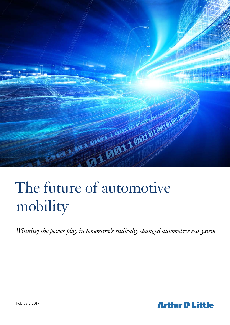

# The future of automotive mobility

*Winning the power play in tomorrow's radically changed automotive ecosystem*

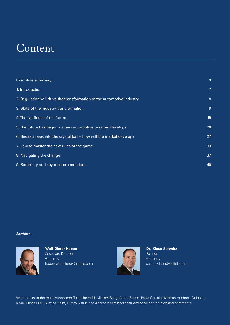## Content

| <b>Executive summary</b>                                               | 3  |
|------------------------------------------------------------------------|----|
| 1. Introduction                                                        | 7  |
| 2. Regulation will drive the transformation of the automotive industry | 8  |
| 3. State of the industry transformation                                | 9  |
| 4. The car fleets of the future                                        | 19 |
| 5. The future has begun $-$ a new automotive pyramid develops          | 20 |
| 6. Sneak a peek into the crystal ball - how will the market develop?   | 27 |
| 7. How to master the new rules of the game                             | 33 |
| 8. Navigating the change                                               | 37 |
| 9. Summary and key recommendations                                     | 40 |

#### **Authors:**



**Wolf-Dieter Hoppe** Associate Director **Germany** hoppe.wolf-dieter@adlittle.com



**Dr. Klaus Schmitz** Partner **Germany** schmitz.klaus@adlittle.com

With thanks to the many supporters: Toshihiro Ariki, Michael Bang, Astrid Busse, Paola Carvajal, Markus Huebner, Delphine Knab, Russell Pell, Alexios Seibt, Hiroto Suzuki and Andrea Visentin for their extensive contribution and comments.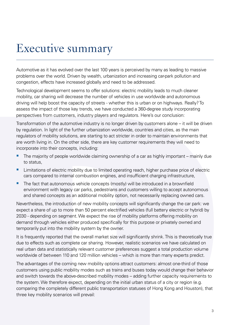# Executive summary

Automotive as it has evolved over the last 100 years is perceived by many as leading to massive problems over the world. Driven by wealth, urbanization and increasing car-park pollution and congestion, effects have increased globally and need to be addressed.

Technological development seems to offer solutions: electric mobility leads to much cleaner mobility, car sharing will decrease the number of vehicles in use worldwide and autonomous driving will help boost the capacity of streets - whether this is urban or on highways. Really? To assess the impact of those key trends, we have conducted a 360-degree study incorporating perspectives from customers, industry players and regulators. Here's our conclusion:

Transformation of the automotive industry is no longer driven by customers alone – it will be driven by regulation. In light of the further urbanization worldwide, countries and cities, as the main regulators of mobility solutions, are starting to act stricter in order to maintain environments that are worth living in. On the other side, there are key customer requirements they will need to incorporate into their concepts, including:

- The majority of people worldwide claiming ownership of a car as highly important mainly due to status,
- **EXTERCT** Limitations of electric mobility due to limited operating reach, higher purchase price of electric cars compared to internal combustion engines, and insufficient charging infrastructure,
- The fact that autonomous vehicle concepts (mostly) will be introduced in a brownfield environment with legacy car parks, pedestrians and customers willing to accept autonomous and shared concepts as an additional mobility option, not necessarily replacing owned cars.

Nevertheless, the introduction of new mobility concepts will significantly change the car park: we expect a share of up to more than 50 percent electrified vehicles (full battery electric or hybrid) by 2030 - depending on segment. We expect the rise of mobility platforms offering mobility on demand through vehicles either produced specifically for this purpose or privately owned and temporarily put into the mobility system by the owner.

It is frequently reported that the overall market size will significantly shrink. This is theoretically true due to effects such as complete car sharing. However, realistic scenarios we have calculated on real urban data and statistically relevant customer preferences suggest a total production volume worldwide of between 110 and 120 million vehicles – which is more than many experts predict.

The advantages of the coming new mobility options attract customers: almost one-third of those customers using public mobility modes such as trains and buses today would change their behavior and switch towards the above-described mobility modes – adding further capacity requirements to the system. We therefore expect, depending on the initial urban status of a city or region (e.g. comparing the completely different public transportation statuses of Hong Kong and Houston), that three key mobility scenarios will prevail: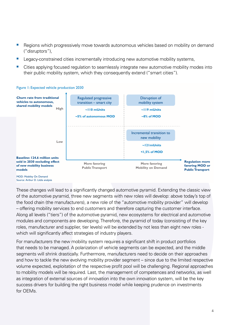- Regions which progressively move towards autonomous vehicles based on mobility on demand ("disruptors"),
- Legacy-constrained cities incrementally introducing new automotive mobility systems,
- **•** Cities applying focused regulation to seamlessly integrate new automotive mobility modes into their public mobility system, which they consequently extend ("smart cities").



#### Figure 1: Expected vehicle production 2030

Source: Arthur D. Little analysis

These changes will lead to a significantly changed automotive pyramid. Extending the classic view of the automotive pyramid, three new segments with new roles will develop: above today's top of the food chain (the manufacturers), a new role of the "automotive mobility provider" will develop – offering mobility services to end customers and therefore capturing the customer interface. Along all levels ("tiers") of the automotive pyramid, new ecosystems for electrical and automotive modules and components are developing. Therefore, the pyramid of today (consisting of the key roles, manufacturer and supplier, tier levels) will be extended by not less than eight new roles which will significantly affect strategies of industry players.

For manufacturers the new mobility system requires a significant shift in product portfolios that needs to be managed. A polarization of vehicle segments can be expected, and the middle segments will shrink drastically. Furthermore, manufacturers need to decide on their approaches and how to tackle the new evolving mobility provider segment – since due to the limited respective volume expected, exploitation of the respective profit pool will be challenging. Regional approaches to mobility models will be required. Last, the management of competences and networks, as well as integration of external sources of innovation into the own innovation system, will be the key success drivers for building the right business model while keeping prudence on investments for OEMs.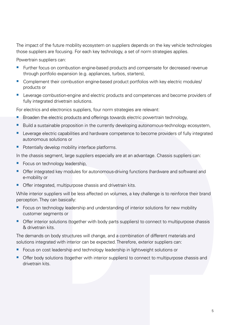The impact of the future mobility ecosystem on suppliers depends on the key vehicle technologies those suppliers are focusing. For each key technology, a set of norm strategies applies.

Powertrain suppliers can:

- **Further focus on combustion engine-based products and compensate for decreased revenue** through portfolio expansion (e.g. appliances, turbos, starters),
- Complement their combustion engine-based product portfolios with key electric modules/ products or
- **Leverage combustion-engine and electric products and competences and become providers of** fully integrated drivetrain solutions.

For electrics and electronics suppliers, four norm strategies are relevant:

- **Broaden the electric products and offerings towards electric powertrain technology,**
- Build a sustainable proposition in the currently developing autonomous-technology ecosystem,
- Leverage electric capabilities and hardware competence to become providers of fully integrated autonomous solutions or
- Potentially develop mobility interface platforms.

In the chassis segment, large suppliers especially are at an advantage. Chassis suppliers can:

- Focus on technology leadership,
- Offer integrated key modules for autonomous-driving functions (hardware and software) and e-mobility or
- Offer integrated, multipurpose chassis and drivetrain kits.

While interior suppliers will be less affected on volumes, a key challenge is to reinforce their brand perception. They can basically:

- Focus on technology leadership and understanding of interior solutions for new mobility customer segments or
- Offer interior solutions (together with body parts suppliers) to connect to multipurpose chassis & drivetrain kits.

The demands on body structures will change, and a combination of different materials and solutions integrated with interior can be expected. Therefore, exterior suppliers can:

- Focus on cost leadership and technology leadership in lightweight solutions or
- Offer body solutions (together with interior suppliers) to connect to multipurpose chassis and drivetrain kits.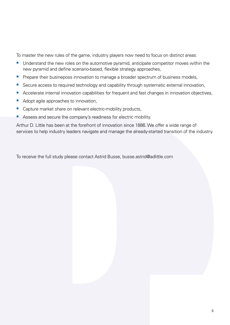To master the new rules of the game, industry players now need to focus on distinct areas:

- Understand the new roles on the automotive pyramid, anticipate competitor moves within the new pyramid and define scenario-based, flexible strategy approaches,
- **Prepare their busineposs innovation to manage a broader spectrum of business models,**
- Secure access to required technology and capability through systematic external innovation,
- Accelerate internal innovation capabilities for frequent and fast changes in innovation objectives,
- Adopt agile approaches to innovation,
- Capture market share on relevant electric-mobility products,
- Assess and secure the company's readiness for electric mobility.

Arthur D. Little has been at the forefront of innovation since 1886. We offer a wide range of services to help industry leaders navigate and manage the already-started transition of the industry.

To receive the full study please contact Astrid Busse, busse.astrid@adlittle.com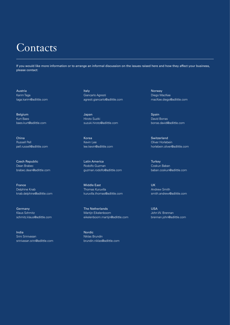### **Contacts**

If you would like more information or to arrange an informal discussion on the issues raised here and how they affect your business, please contact:

Austria Karim Taga taga.karim@adlittle.com

Belgium Kurt Baes baes.kurt@adlittle.com

China Russell Pell pell.russell@adlittle.com

Czech Republic Dean Brabec brabec.dean@adlittle.com

France Delphine Knab knab.delphine@adlittle.com

**Germany** Klaus Schmitz schmitz.klaus@adlittle.com

India Srini Srinivasan srinivasan.srini@adlittle.com Italy Giancarlo Agresti agresti.giancarlo@adlittle.com

Japan Hiroto Suziki suzuki.hiroto@adlittle.com

Korea Kevin Lee lee.kevin@adlittle.com

Latin America Rodolfo Guzman guzman.rodolfo@adlittle.com

Middle East Thomas Kuruvilla kuruvilla.thomas@adlittle.com

The Netherlands Martijn Eikelenboom eikelenboom.martijn@adlittle.com

Nordic Niklas Brundin brundin.niklas@adlittle.com Norway Diego MacKee macKee.diego@adlittle.com

**Spain** David Borras borras.david@adlittle.com

Switzerland Oliver Horlebein horlebein.oliver@adlittle.com

**Turkey** Coskun Baban baban.coskun@adlittle.com

UK Andrew Smith smith.andrew@adlittle.com

USA John W. Brennan brennan.john@adlittle.com